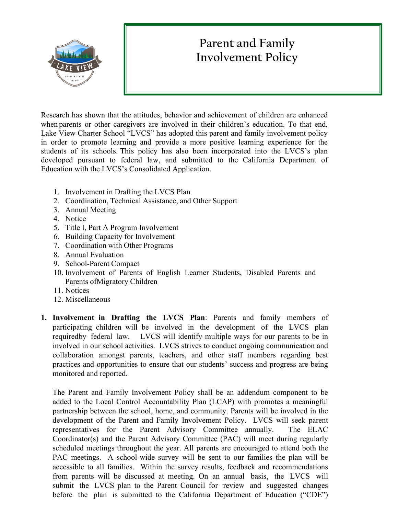

# **Parent and Family Involvement Policy**

Research has shown that the attitudes, behavior and achievement of children are enhanced when parents or other caregivers are involved in their children's education. To that end, Lake View Charter School "LVCS" has adopted this parent and family involvement policy in order to promote learning and provide a more positive learning experience for the students of its schools. This policy has also been incorporated into the LVCS's plan developed pursuant to federal law, and submitted to the California Department of Education with the LVCS's Consolidated Application.

- 1. Involvement in Drafting the LVCS Plan
- 2. Coordination, Technical Assistance, and Other Support
- 3. Annual Meeting
- 4. Notice
- 5. Title I, Part A Program Involvement
- 6. Building Capacity for Involvement
- 7. Coordination with Other Programs
- 8. Annual Evaluation
- 9. School-Parent Compact
- 10. Involvement of Parents of English Learner Students, Disabled Parents and Parents ofMigratory Children
- 11. Notices
- 12. Miscellaneous
- **1. Involvement in Drafting the LVCS Plan**: Parents and family members of participating children will be involved in the development of the LVCS plan requiredby federal law. LVCS will identify multiple ways for our parents to be in involved in our school activities. LVCS strives to conduct ongoing communication and collaboration amongst parents, teachers, and other staff members regarding best practices and opportunities to ensure that our students' success and progress are being monitored and reported.

The Parent and Family Involvement Policy shall be an addendum component to be added to the Local Control Accountability Plan (LCAP) with promotes a meaningful partnership between the school, home, and community. Parents will be involved in the development of the Parent and Family Involvement Policy. LVCS will seek parent representatives for the Parent Advisory Committee annually. The ELAC Coordinator(s) and the Parent Advisory Committee (PAC) will meet during regularly scheduled meetings throughout the year. All parents are encouraged to attend both the PAC meetings. A school-wide survey will be sent to our families the plan will be accessible to all families. Within the survey results, feedback and recommendations from parents will be discussed at meeting. On an annual basis, the LVCS will submit the LVCS plan to the Parent Council for review and suggested changes before the plan is submitted to the California Department of Education ("CDE")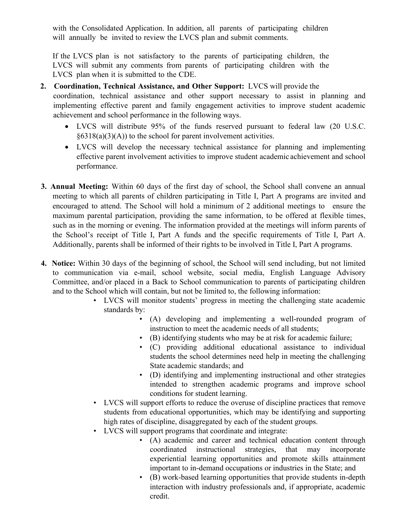with the Consolidated Application. In addition, all parents of participating children will annually be invited to review the LVCS plan and submit comments.

If the LVCS plan is not satisfactory to the parents of participating children, the LVCS will submit any comments from parents of participating children with the LVCS plan when it is submitted to the CDE.

- **2. Coordination, Technical Assistance, and Other Support:** LVCS will provide the coordination, technical assistance and other support necessary to assist in planning and implementing effective parent and family engagement activities to improve student academic achievement and school performance in the following ways.
	- LVCS will distribute 95% of the funds reserved pursuant to federal law (20 U.S.C.  $§6318(a)(3)(A)$  to the school for parent involvement activities.
	- LVCS will develop the necessary technical assistance for planning and implementing effective parent involvement activities to improve student academic achievement and school performance.
- **3. Annual Meeting:** Within 60 days of the first day of school, the School shall convene an annual meeting to which all parents of children participating in Title I, Part A programs are invited and encouraged to attend. The School will hold a minimum of 2 additional meetings to ensure the maximum parental participation, providing the same information, to be offered at flexible times, such as in the morning or evening. The information provided at the meetings will inform parents of the School's receipt of Title I, Part A funds and the specific requirements of Title I, Part A. Additionally, parents shall be informed of their rights to be involved in Title I, Part A programs.
- **4. Notice:** Within 30 days of the beginning of school, the School will send including, but not limited to communication via e-mail, school website, social media, English Language Advisory Committee, and/or placed in a Back to School communication to parents of participating children and to the School which will contain, but not be limited to, the following information:
	- LVCS will monitor students' progress in meeting the challenging state academic standards by:
		- (A) developing and implementing a well-rounded program of instruction to meet the academic needs of all students;
		- (B) identifying students who may be at risk for academic failure;
		- (C) providing additional educational assistance to individual students the school determines need help in meeting the challenging State academic standards; and
		- (D) identifying and implementing instructional and other strategies intended to strengthen academic programs and improve school conditions for student learning.
	- LVCS will support efforts to reduce the overuse of discipline practices that remove students from educational opportunities, which may be identifying and supporting high rates of discipline, disaggregated by each of the student groups.
	- LVCS will support programs that coordinate and integrate:
		- (A) academic and career and technical education content through coordinated instructional strategies, that may incorporate experiential learning opportunities and promote skills attainment important to in-demand occupations or industries in the State; and
		- (B) work-based learning opportunities that provide students in-depth interaction with industry professionals and, if appropriate, academic credit.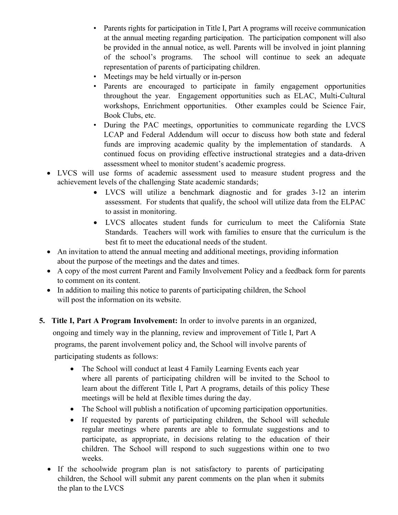- Parents rights for participation in Title I, Part A programs will receive communication at the annual meeting regarding participation. The participation component will also be provided in the annual notice, as well. Parents will be involved in joint planning of the school's programs. The school will continue to seek an adequate representation of parents of participating children.
- Meetings may be held virtually or in-person
- Parents are encouraged to participate in family engagement opportunities throughout the year. Engagement opportunities such as ELAC, Multi-Cultural workshops, Enrichment opportunities. Other examples could be Science Fair, Book Clubs, etc.
- During the PAC meetings, opportunities to communicate regarding the LVCS LCAP and Federal Addendum will occur to discuss how both state and federal funds are improving academic quality by the implementation of standards. A continued focus on providing effective instructional strategies and a data-driven assessment wheel to monitor student's academic progress.
- LVCS will use forms of academic assessment used to measure student progress and the achievement levels of the challenging State academic standards;
	- LVCS will utilize a benchmark diagnostic and for grades 3-12 an interim assessment. For students that qualify, the school will utilize data from the ELPAC to assist in monitoring.
	- LVCS allocates student funds for curriculum to meet the California State Standards. Teachers will work with families to ensure that the curriculum is the best fit to meet the educational needs of the student.
- An invitation to attend the annual meeting and additional meetings, providing information about the purpose of the meetings and the dates and times.
- A copy of the most current Parent and Family Involvement Policy and a feedback form for parents to comment on its content.
- In addition to mailing this notice to parents of participating children, the School will post the information on its website.
- **5. Title I, Part A Program Involvement:** In order to involve parents in an organized, ongoing and timely way in the planning, review and improvement of Title I, Part A programs, the parent involvement policy and, the School will involve parents of participating students as follows:
	- The School will conduct at least 4 Family Learning Events each year where all parents of participating children will be invited to the School to learn about the different Title I, Part A programs, details of this policy These meetings will be held at flexible times during the day.
	- The School will publish a notification of upcoming participation opportunities.
	- If requested by parents of participating children, the School will schedule regular meetings where parents are able to formulate suggestions and to participate, as appropriate, in decisions relating to the education of their children. The School will respond to such suggestions within one to two weeks.
	- If the schoolwide program plan is not satisfactory to parents of participating children, the School will submit any parent comments on the plan when it submits the plan to the LVCS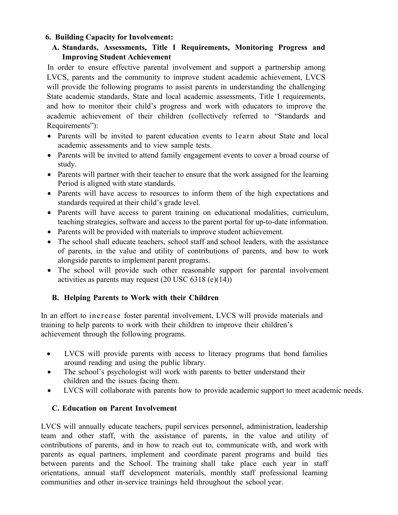#### **6. Building Capacity for Involvement:**

## **A. Standards, Assessments, Title I Requirements, Monitoring Progress and Improving Student Achievement**

In order to ensure effective parental involvement and support a partnership among LVCS, parents and the community to improve student academic achievement, LVCS will provide the following programs to assist parents in understanding the challenging State academic standards, State and local academic assessments, Title I requirements, and how to monitor their child's progress and work with educators to improve the academic achievement of their children (collectively referred to "Standards and Requirements"):

- Parents will be invited to parent education events to learn about State and local academic assessments and to view sample tests.
- Parents will be invited to attend family engagement events to cover a broad course of study.
- Parents will partner with their teacher to ensure that the work assigned for the learning Period is aligned with state standards.
- Parents will have access to resources to inform them of the high expectations and standards required at their child's grade level.
- Parents will have access to parent training on educational modalities, curriculum, teaching strategies, software and access to the parent portal for up-to-date information.
- Parents will be provided with materials to improve student achievement.
- The school shall educate teachers, school staff and school leaders, with the assistance of parents, in the value and utility of contributions of parents, and how to work alongside parents to implement parent programs.
- The school will provide such other reasonable support for parental involvement activities as parents may request (20 USC 6318 (e)(14))

## **B. Helping Parents to Work with their Children**

In an effort to increase foster parental involvement, LVCS will provide materials and training to help parents to work with their children to improve their children's achievement through the following programs.

- LVCS will provide parents with access to literacy programs that bond families around reading and using the public library.
- The school's psychologist will work with parents to better understand their children and the issues facing them.
- LVCS will collaborate with parents how to provide academic support to meet academic needs.

### **C. Education on Parent Involvement**

LVCS will annually educate teachers, pupil services personnel, administration, leadership team and other staff, with the assistance of parents, in the value and utility of contributions of parents, and in how to reach out to, communicate with, and work with parents as equal partners, implement and coordinate parent programs and build ties between parents and the School. The training shall take place each year in staff orientations, annual staff development materials, monthly staff professional learning communities and other in-service trainings held throughout the school year.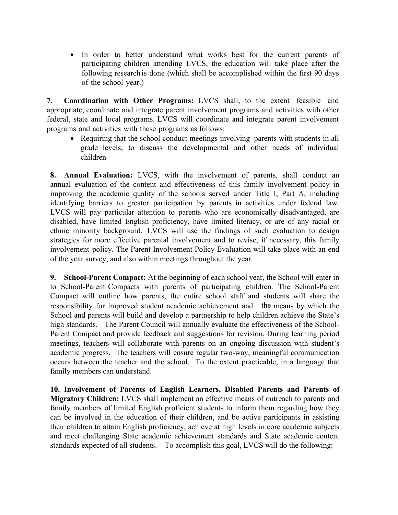• In order to better understand what works best for the current parents of participating children attending LVCS, the education will take place after the following research is done (which shall be accomplished within the first 90 days of the school year.)

**7. Coordination with Other Programs:** LVCS shall, to the extent feasible and appropriate, coordinate and integrate parent involvement programs and activities with other federal, state and local programs. LVCS will coordinate and integrate parent involvement programs and activities with these programs as follows:

• Requiring that the school conduct meetings involving parents with students in all grade levels, to discuss the developmental and other needs of individual children

**8. Annual Evaluation:** LVCS, with the involvement of parents, shall conduct an annual evaluation of the content and effectiveness of this family involvement policy in improving the academic quality of the schools served under Title I, Part A, including identifying barriers to greater participation by parents in activities under federal law. LVCS will pay particular attention to parents who are economically disadvantaged, are disabled, have limited English proficiency, have limited literacy, or are of any racial or ethnic minority background. LVCS will use the findings of such evaluation to design strategies for more effective parental involvement and to revise, if necessary, this family involvement policy. The Parent Involvement Policy Evaluation will take place with an end of the year survey, and also within meetings throughout the year.

**9. School-Parent Compact:** At the beginning of each school year, the School will enter in to School-Parent Compacts with parents of participating children. The School-Parent Compact will outline how parents, the entire school staff and students will share the responsibility for improved student academic achievement and the means by which the School and parents will build and develop a partnership to help children achieve the State's high standards. The Parent Council will annually evaluate the effectiveness of the School-Parent Compact and provide feedback and suggestions for revision. During learning period meetings, teachers will collaborate with parents on an ongoing discussion with student's academic progress. The teachers will ensure regular two-way, meaningful communication occurs between the teacher and the school. To the extent practicable, in a language that family members can understand.

**10. Involvement of Parents of English Learners, Disabled Parents and Parents of Migratory Children:** LVCS shall implement an effective means of outreach to parents and family members of limited English proficient students to inform them regarding how they can be involved in the education of their children, and be active participants in assisting their children to attain English proficiency, achieve at high levels in core academic subjects and meet challenging State academic achievement standards and State academic content standards expected of all students. To accomplish this goal, LVCS will do the following: